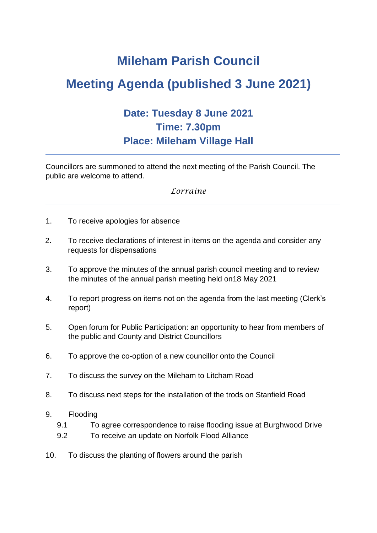## **Mileham Parish Council**

# **Meeting Agenda (published 3 June 2021)**

## **Date: Tuesday 8 June 2021 Time: 7.30pm Place: Mileham Village Hall**

Councillors are summoned to attend the next meeting of the Parish Council. The public are welcome to attend.

## *Lorraine*

- 1. To receive apologies for absence
- 2. To receive declarations of interest in items on the agenda and consider any requests for dispensations
- 3. To approve the minutes of the annual parish council meeting and to review the minutes of the annual parish meeting held on18 May 2021
- 4. To report progress on items not on the agenda from the last meeting (Clerk's report)
- 5. Open forum for Public Participation: an opportunity to hear from members of the public and County and District Councillors
- 6. To approve the co-option of a new councillor onto the Council
- 7. To discuss the survey on the Mileham to Litcham Road
- 8. To discuss next steps for the installation of the trods on Stanfield Road
- 9. Flooding
	- 9.1 To agree correspondence to raise flooding issue at Burghwood Drive
	- 9.2 To receive an update on Norfolk Flood Alliance
- 10. To discuss the planting of flowers around the parish